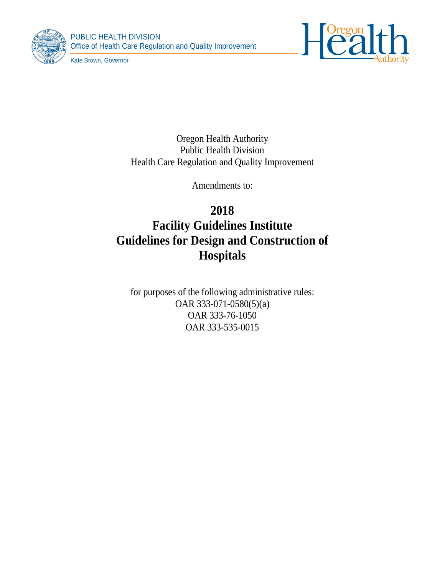

PUBLIC HEALTH DIVISION Office of Health Care Regulation and Quality Improvement



Kate Brown, Governor

Oregon Health Authority Public Health Division Health Care Regulation and Quality Improvement

Amendments to:

# **2018 Facility Guidelines Institute Guidelines for Design and Construction of**

# **Hospitals**

for purposes of the following administrative rules: OAR 333-071-0580(5)(a) OAR 333-76-1050 OAR 333-535-0015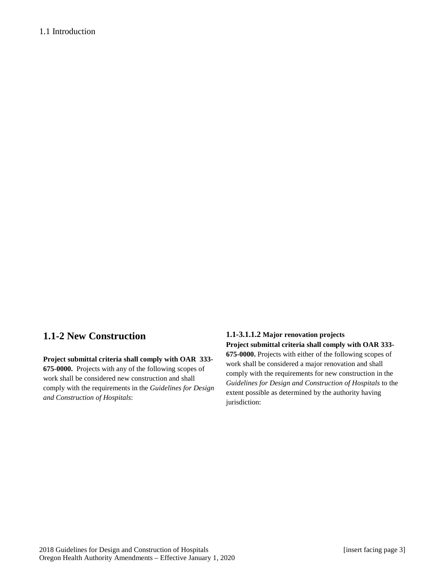# 1.1 Introduction

# **1.1-2 New Construction**

**Project submittal criteria shall comply with OAR 333- 675-0000.** Projects with any of the following scopes of work shall be considered new construction and shall comply with the requirements in the *Guidelines for Design and Construction of Hospitals*:

# **1.1-3.1.1.2 Major renovation projects**

**Project submittal criteria shall comply with OAR 333- 675-0000.** Projects with either of the following scopes of work shall be considered a major renovation and shall comply with the requirements for new construction in the *Guidelines for Design and Construction of Hospitals* to the extent possible as determined by the authority having jurisdiction: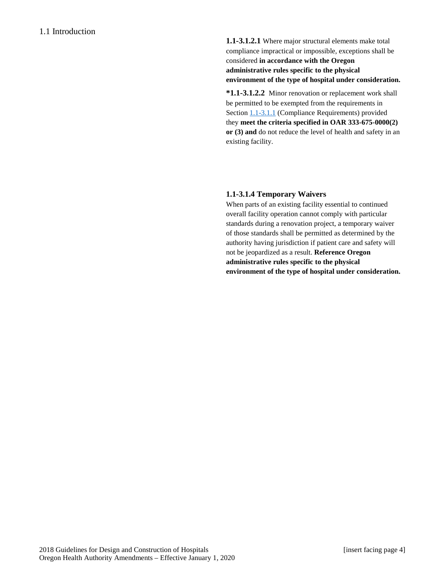**1.1-3.1.2.1** Where major structural elements make total compliance impractical or impossible, exceptions shall be considered **in accordance with the Oregon administrative rules specific to the physical environment of the type of hospital under consideration.**

**\*1.1-3.1.2.2** Minor renovation or replacement work shall be permitted to be exempted from the requirements in Sectio[n 1.1-3.1.1](http://www.madcad.com/library/230717/664383/#section-1.1-3.1.1) (Compliance Requirements) provided they **meet the criteria specified in OAR 333-675-0000(2) or (3) and** do not reduce the level of health and safety in an existing facility.

# **1.1-3.1.4 Temporary Waivers**

When parts of an existing facility essential to continued overall facility operation cannot comply with particular standards during a renovation project, a temporary waiver of those standards shall be permitted as determined by the authority having jurisdiction if patient care and safety will not be jeopardized as a result. **Reference Oregon administrative rules specific to the physical environment of the type of hospital under consideration.**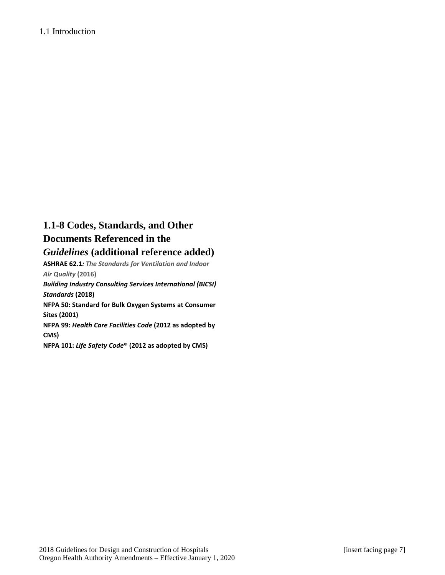# **1.1-8 Codes, Standards, and Other Documents Referenced in the**  *Guidelines* **(additional reference added)**

**ASHRAE 62.1***: The Standards for Ventilation and Indoor Air Quality* **(2016)** *Building Industry Consulting Services International (BICSI)* 

*Standards* **(2018) NFPA 50: Standard for Bulk Oxygen Systems at Consumer Sites (2001)**

**NFPA 99:** *Health Care Facilities Code* **(2012 as adopted by CMS)**

**NFPA 101:** *Life Safety Code***® (2012 as adopted by CMS)**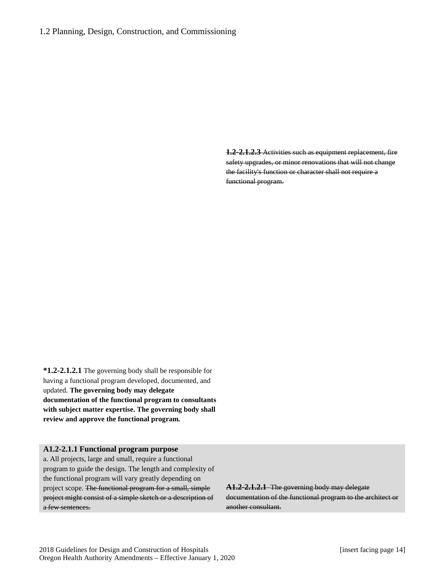**1.2-2.1.2.3** Activities such as equipment replacement, fire safety upgrades, or minor renovations that will not change the facility's function or character shall not require a functional program.

**\*1.2-2.1.2.1** The governing body shall be responsible for having a functional program developed, documented, and updated. **The governing body may delegate documentation of the functional program to consultants with subject matter expertise. The governing body shall review and approve the functional program.**

# **A1.2-2.1.1 Functional program purpose**

a. All projects, large and small, require a functional program to guide the design. The length and complexity of the functional program will vary greatly depending on project scope. The functional program for a small, simple project might consist of a simple sketch or a description of a few sentences.

**A1.2-2.1.2.1** The governing body may delegate documentation of the functional program to the architect or another consultant.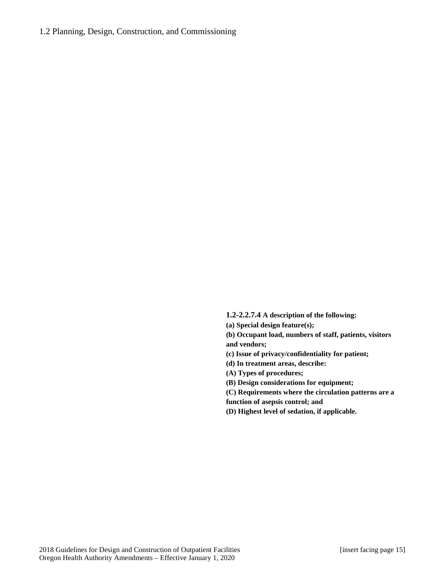# 1.2 Planning, Design, Construction, and Commissioning

**1.2-2.2.7.4 A description of the following:**

**(a) Special design feature(s);** 

**(b) Occupant load, numbers of staff, patients, visitors and vendors;** 

**(c) Issue of privacy/confidentiality for patient;** 

**(d) In treatment areas, describe:** 

**(A) Types of procedures;**

**(B) Design considerations for equipment;** 

**(C) Requirements where the circulation patterns are a function of asepsis control; and** 

**(D) Highest level of sedation, if applicable.**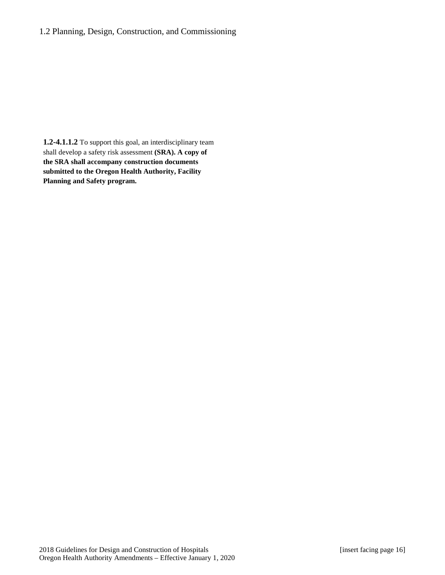# 1.2 Planning, Design, Construction, and Commissioning

**1.2-4.1.1.2** To support this goal, an interdisciplinary team shall develop a safety risk assessment **(SRA). A copy of the SRA shall accompany construction documents submitted to the Oregon Health Authority, Facility Planning and Safety program.**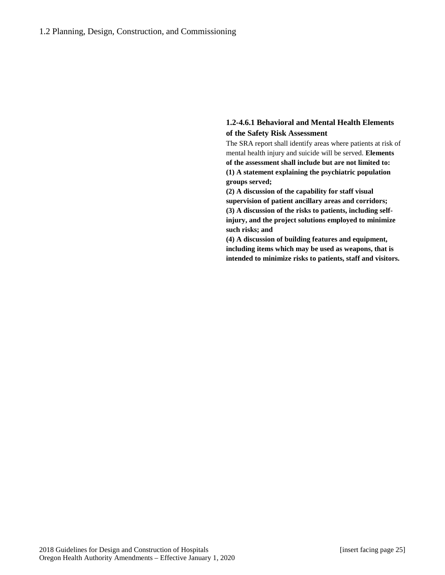# **1.2-4.6.1 Behavioral and Mental Health Elements of the Safety Risk Assessment**

The SRA report shall identify areas where patients at risk of mental health injury and suicide will be served. **Elements of the assessment shall include but are not limited to: (1) A statement explaining the psychiatric population groups served;** 

**(2) A discussion of the capability for staff visual supervision of patient ancillary areas and corridors; (3) A discussion of the risks to patients, including selfinjury, and the project solutions employed to minimize such risks; and**

**(4) A discussion of building features and equipment, including items which may be used as weapons, that is intended to minimize risks to patients, staff and visitors.**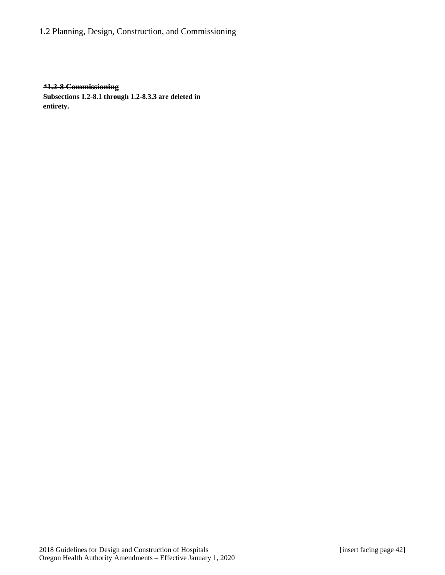1.2 Planning, Design, Construction, and Commissioning

### **\*1.2-8 Commissioning**

**Subsections 1.2-8.1 through 1.2-8.3.3 are deleted in entirety.**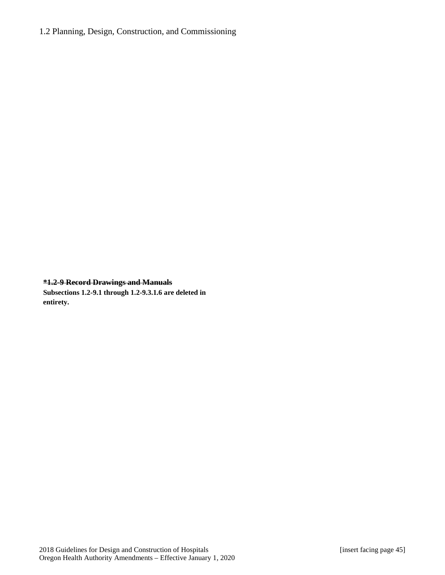**\*1.2-9 Record Drawings and Manuals Subsections 1.2-9.1 through 1.2-9.3.1.6 are deleted in entirety.**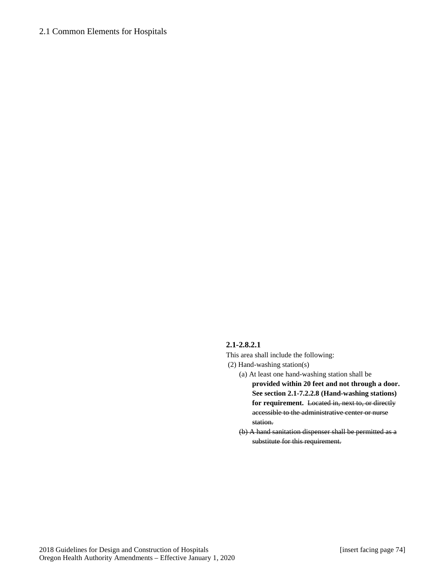# **2.1-2.8.2.1**

This area shall include the following:

- (2) Hand-washing station(s)
	- (a) At least one hand-washing station shall be **provided within 20 feet and not through a door. See section 2.1-7.2.2.8 (Hand-washing stations)**  for requirement. Located in, next to, or directly accessible to the administrative center or nurse station.
	- (b) A hand sanitation dispenser shall be permitted as a substitute for this requirement.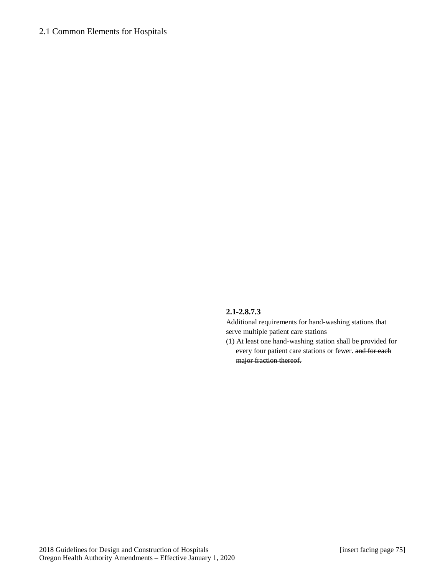# **2.1-2.8.7.3**

Additional requirements for hand-washing stations that serve multiple patient care stations

(1) At least one hand-washing station shall be provided for every four patient care stations or fewer. and for each major fraction thereof.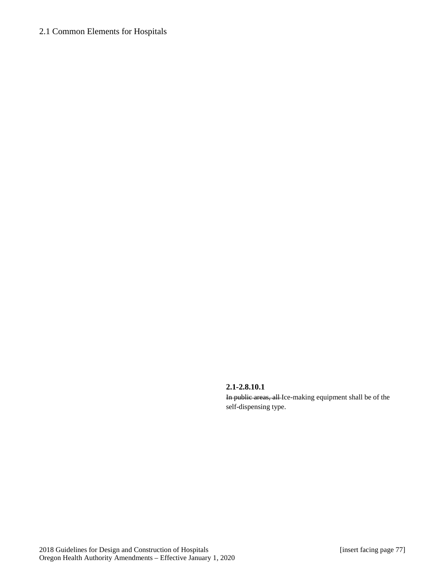#### **2.1-2.8.10.1**

In public areas, all Ice-making equipment shall be of the self-dispensing type.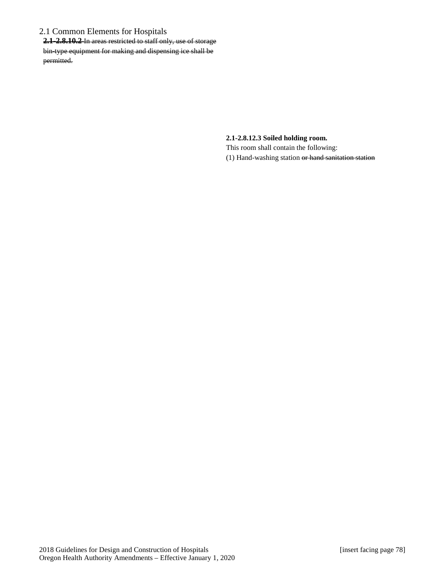**2.1-2.8.10.2** In areas restricted to staff only, use of storage bin-type equipment for making and dispensing ice shall be permitted.

**2.1-2.8.12.3 Soiled holding room.**

This room shall contain the following: (1) Hand-washing station or hand sanitation station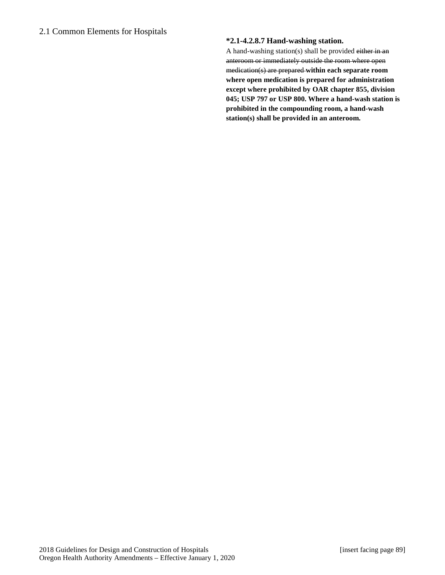# **\*2.1-4.2.8.7 Hand-washing station.**

A hand-washing station(s) shall be provided either in an anteroom or immediately outside the room where open medication(s) are prepared **within each separate room where open medication is prepared for administration except where prohibited by OAR chapter 855, division 045; USP 797 or USP 800. Where a hand-wash station is prohibited in the compounding room, a hand-wash station(s) shall be provided in an anteroom.**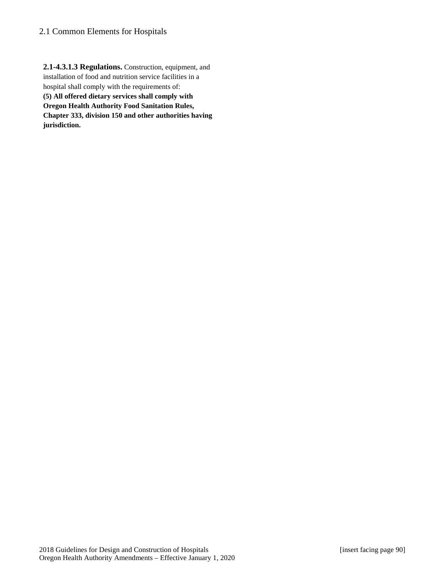**2.1-4.3.1.3 Regulations.** Construction, equipment, and installation of food and nutrition service facilities in a hospital shall comply with the requirements of: **(5) All offered dietary services shall comply with Oregon Health Authority Food Sanitation Rules, Chapter 333, division 150 and other authorities having jurisdiction.**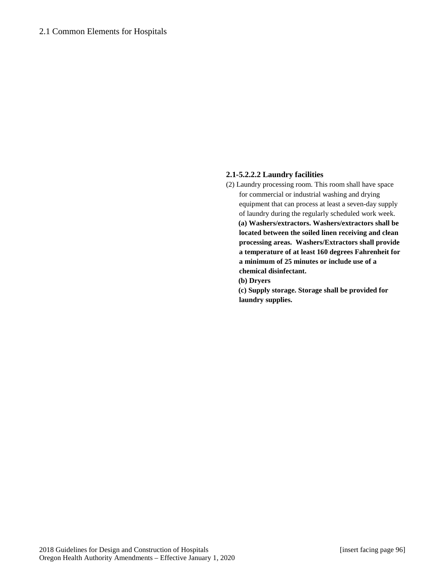# **2.1-5.2.2.2 Laundry facilities**

(2) Laundry processing room. This room shall have space for commercial or industrial washing and drying equipment that can process at least a seven-day supply of laundry during the regularly scheduled work week. **(a) Washers/extractors. Washers/extractors shall be located between the soiled linen receiving and clean processing areas. Washers/Extractors shall provide a temperature of at least 160 degrees Fahrenheit for a minimum of 25 minutes or include use of a chemical disinfectant.** 

**(b) Dryers** 

**(c) Supply storage. Storage shall be provided for laundry supplies.**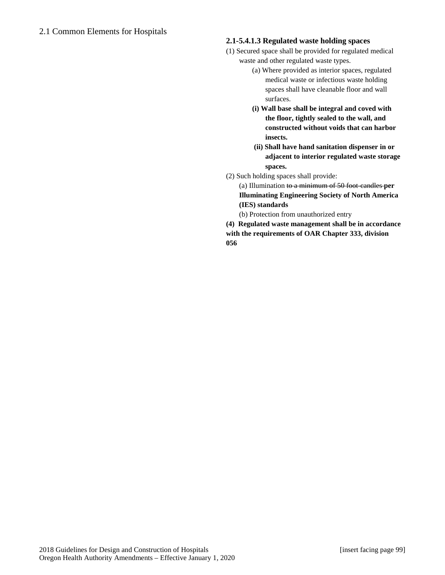# **2.1-5.4.1.3 Regulated waste holding spaces**

- (1) Secured space shall be provided for regulated medical waste and other regulated waste types.
	- (a) Where provided as interior spaces, regulated medical waste or infectious waste holding spaces shall have cleanable floor and wall surfaces.
	- **(i) Wall base shall be integral and coved with the floor, tightly sealed to the wall, and constructed without voids that can harbor insects.**
	- **(ii) Shall have hand sanitation dispenser in or adjacent to interior regulated waste storage spaces.**
- (2) Such holding spaces shall provide:

(a) Illumination to a minimum of 50 foot-candles **per Illuminating Engineering Society of North America (IES) standards** 

(b) Protection from unauthorized entry

**(4) Regulated waste management shall be in accordance with the requirements of OAR Chapter 333, division 056**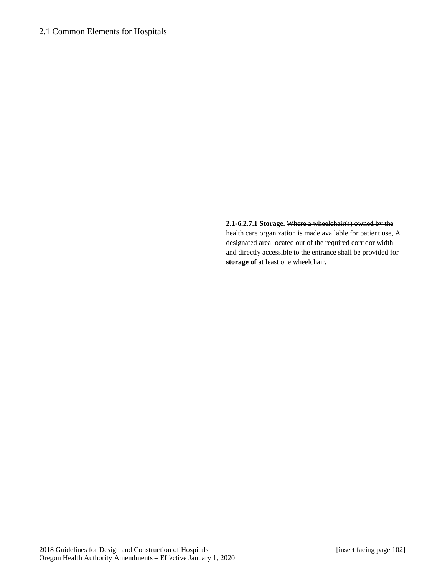**2.1-6.2.7.1 Storage.** Where a wheelchair(s) owned by the health care organization is made available for patient use, A designated area located out of the required corridor width and directly accessible to the entrance shall be provided for **storage of** at least one wheelchair.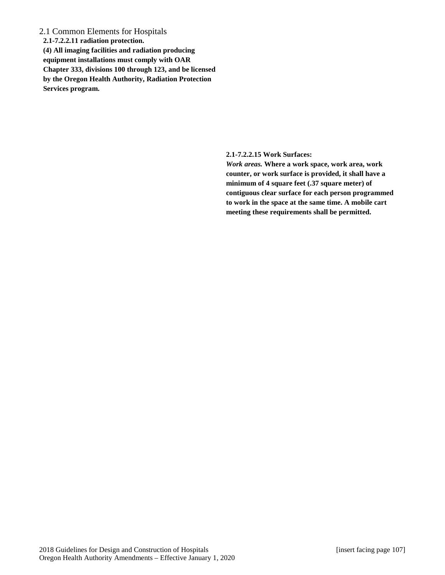**2.1-7.2.2.11 radiation protection. (4) All imaging facilities and radiation producing equipment installations must comply with OAR Chapter 333, divisions 100 through 123, and be licensed by the Oregon Health Authority, Radiation Protection Services program.**

**2.1-7.2.2.15 Work Surfaces:**

*Work areas.* **Where a work space, work area, work counter, or work surface is provided, it shall have a minimum of 4 square feet (.37 square meter) of contiguous clear surface for each person programmed to work in the space at the same time. A mobile cart meeting these requirements shall be permitted.**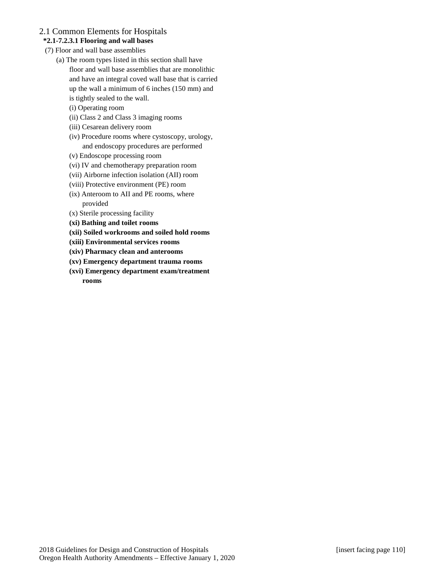# **\*2.1-7.2.3.1 Flooring and wall bases**

- (7) Floor and wall base assemblies
	- (a) The room types listed in this section shall have floor and wall base assemblies that are monolithic and have an integral coved wall base that is carried up the wall a minimum of 6 inches (150 mm) and
		- is tightly sealed to the wall.
		- (i) Operating room
		- (ii) Class 2 and Class 3 imaging rooms
		- (iii) Cesarean delivery room
		- (iv) Procedure rooms where cystoscopy, urology, and endoscopy procedures are performed
		- (v) Endoscope processing room
		- (vi) IV and chemotherapy preparation room
		- (vii) Airborne infection isolation (AII) room
		- (viii) Protective environment (PE) room
		- (ix) Anteroom to AII and PE rooms, where provided
		- (x) Sterile processing facility
		- **(xi) Bathing and toilet rooms**
		- **(xii) Soiled workrooms and soiled hold rooms**
		- **(xiii) Environmental services rooms**
		- **(xiv) Pharmacy clean and anterooms**
		- **(xv) Emergency department trauma rooms**
		- **(xvi) Emergency department exam/treatment rooms**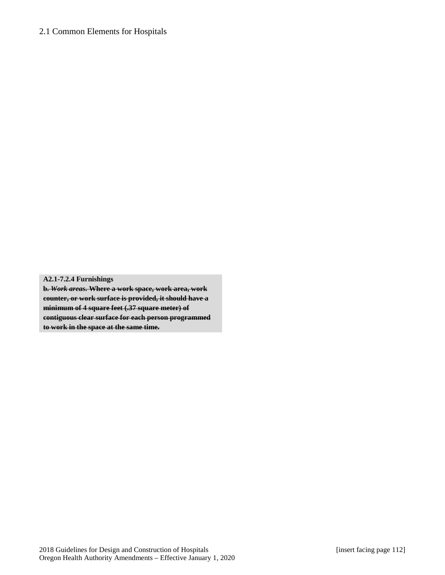**A2.1-7.2.4 Furnishings b.** *Work areas***. Where a work space, work area, work counter, or work surface is provided, it should have a minimum of 4 square feet (.37 square meter) of contiguous clear surface for each person programmed** 

**to work in the space at the same time.**

2018 Guidelines for Design and Construction of Hospitals [insert facing page 112] Oregon Health Authority Amendments – Effective January 1, 2020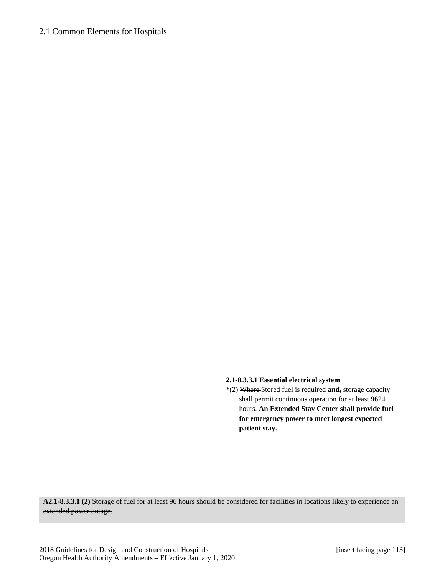### **2.1-8.3.3.1 Essential electrical system**

\*(2) Where Stored fuel is required **and**, storage capacity shall permit continuous operation for at least **96**24 hours. **An Extended Stay Center shall provide fuel for emergency power to meet longest expected patient stay.**

**A2.1-8.3.3.1 (2)** Storage of fuel for at least 96 hours should be considered for facilities in locations likely to experience an extended power outage.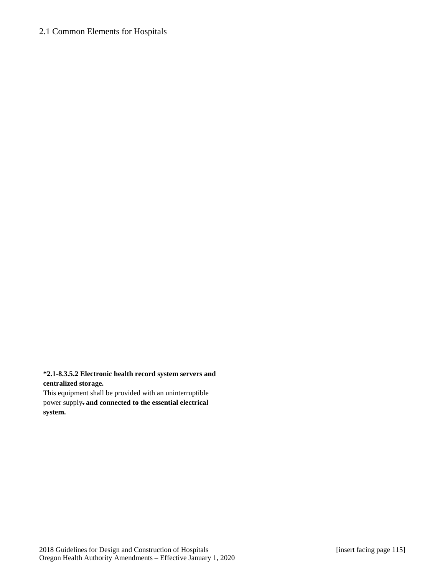### **\*2.1-8.3.5.2 Electronic health record system servers and centralized storage.**

This equipment shall be provided with an uninterruptible power supply. **and connected to the essential electrical system.**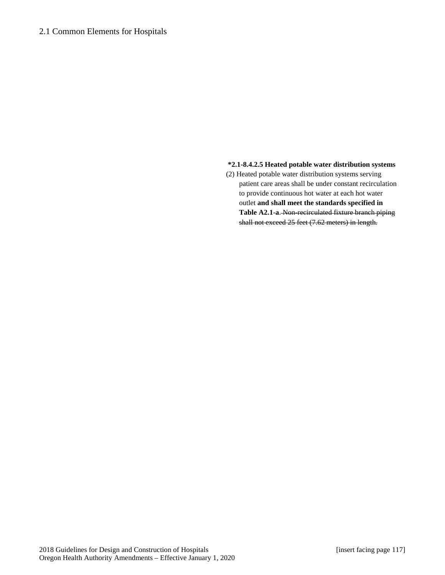#### **\*2.1-8.4.2.5 Heated potable water distribution systems**

(2) Heated potable water distribution systems serving patient care areas shall be under constant recirculation to provide continuous hot water at each hot water outlet **and shall meet the standards specified in Table A2.1-a**. Non-recirculated fixture branch piping shall not exceed 25 feet (7.62 meters) in length.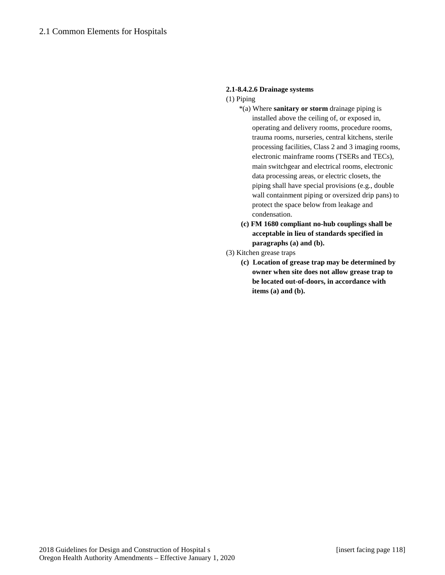# **2.1-8.4.2.6 Drainage systems**

- (1) Piping
	- \*(a) Where **sanitary or storm** drainage piping is installed above the ceiling of, or exposed in, operating and delivery rooms, procedure rooms, trauma rooms, nurseries, central kitchens, sterile processing facilities, Class 2 and 3 imaging rooms, electronic mainframe rooms (TSERs and TECs), main switchgear and electrical rooms, electronic data processing areas, or electric closets, the piping shall have special provisions (e.g., double wall containment piping or oversized drip pans) to protect the space below from leakage and condensation.
	- **(c) FM 1680 compliant no-hub couplings shall be acceptable in lieu of standards specified in paragraphs (a) and (b).**
- (3) Kitchen grease traps
	- **(c) Location of grease trap may be determined by owner when site does not allow grease trap to be located out-of-doors, in accordance with items (a) and (b).**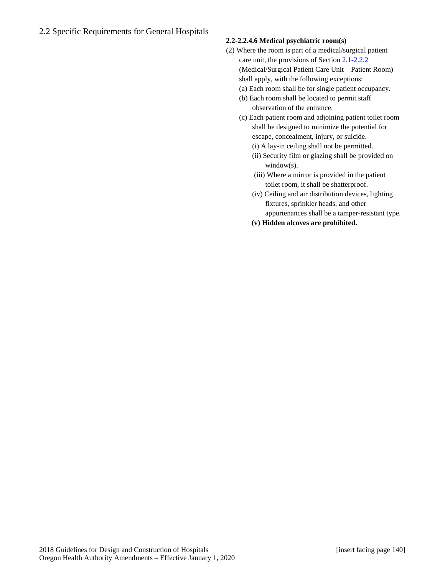# **2.2-2.2.4.6 Medical psychiatric room(s)**

- (2) Where the room is part of a medical/surgical patient care unit, the provisions of Section 2.1-2.2.2 (Medical/Surgical Patient Care Unit—Patient Room) shall apply, with the following exceptions:
	- (a) Each room shall be for single patient occupancy.
	- (b) Each room shall be located to permit staff observation of the entrance.
	- (c) Each patient room and adjoining patient toilet room shall be designed to minimize the potential for escape, concealment, injury, or suicide.
		- (i) A lay-in ceiling shall not be permitted.
		- (ii) Security film or glazing shall be provided on window(s).
		- (iii) Where a mirror is provided in the patient toilet room, it shall be shatterproof.
		- (iv) Ceiling and air distribution devices, lighting fixtures, sprinkler heads, and other appurtenances shall be a tamper-resistant type.
		- **(v) Hidden alcoves are prohibited.**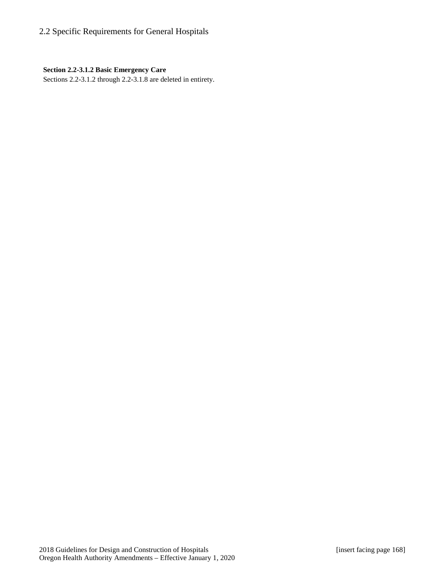### **Section 2.2-3.1.2 Basic Emergency Care**

Sections 2.2-3.1.2 through 2.2-3.1.8 are deleted in entirety.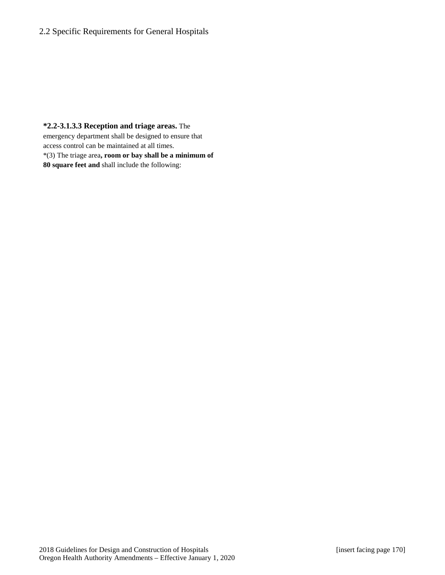**\*2.2-3.1.3.3 Reception and triage areas.** The emergency department shall be designed to ensure that access control can be maintained at all times. \*(3) The triage area**, room or bay shall be a minimum of 80 square feet and** shall include the following: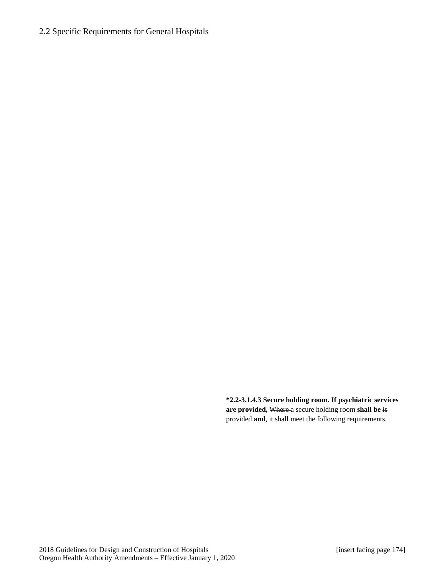**\*2.2-3.1.4.3 Secure holding room. If psychiatric services are provided,** Where a secure holding room **shall be** is provided **and**, it shall meet the following requirements.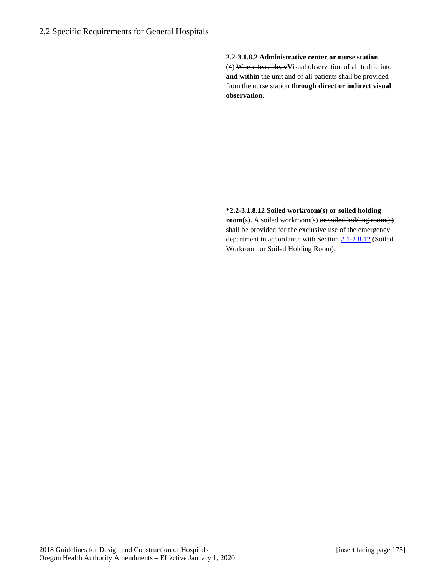**2.2-3.1.8.2 Administrative center or nurse station** (4) Where feasible, v**V**isual observation of all traffic into and within the unit and of all patients shall be provided from the nurse station **through direct or indirect visual observation**.

**\*2.2-3.1.8.12 Soiled workroom(s) or soiled holding room(s).** A soiled workroom(s) or soiled holding room(s) shall be provided for the exclusive use of the emergency department in accordance with Section 2.1-2.8.12 (Soiled Workroom or Soiled Holding Room).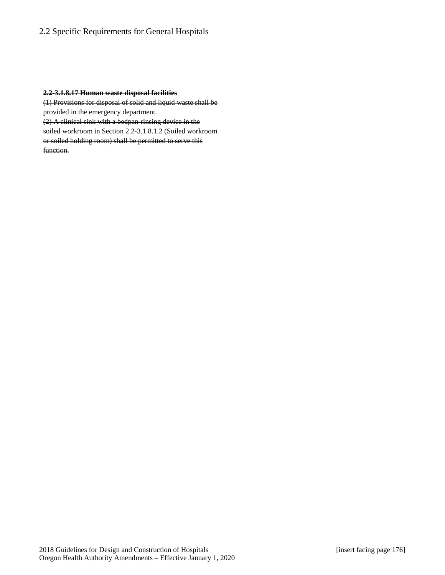#### **2.2-3.1.8.17 Human waste disposal facilities**

(1) Provisions for disposal of solid and liquid waste shall be provided in the emergency department.

(2) A clinical sink with a bedpan-rinsing device in the soiled workroom in Section 2.2-3.1.8.1.2 (Soiled workroom or soiled holding room) shall be permitted to serve this function.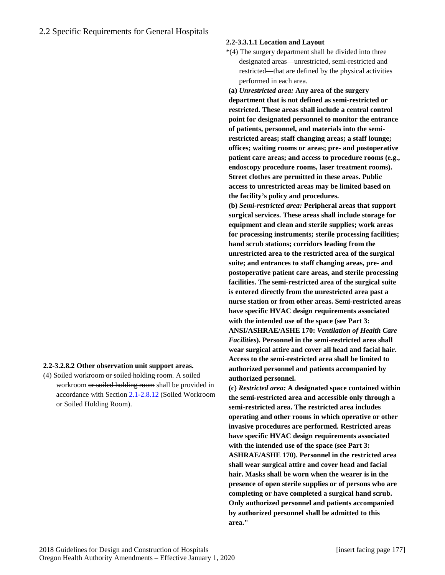#### **2.2-3.3.1.1 Location and Layout**

\*(4) The surgery department shall be divided into three designated areas—unrestricted, semi-restricted and restricted—that are defined by the physical activities performed in each area.

**(a)** *Unrestricted area:* **Any area of the surgery department that is not defined as semi-restricted or restricted. These areas shall include a central control point for designated personnel to monitor the entrance of patients, personnel, and materials into the semirestricted areas; staff changing areas; a staff lounge; offices; waiting rooms or areas; pre- and postoperative patient care areas; and access to procedure rooms (e.g., endoscopy procedure rooms, laser treatment rooms). Street clothes are permitted in these areas. Public access to unrestricted areas may be limited based on the facility's policy and procedures.** 

**(b)** *Semi-restricted area:* **Peripheral areas that support surgical services. These areas shall include storage for equipment and clean and sterile supplies; work areas for processing instruments; sterile processing facilities; hand scrub stations; corridors leading from the unrestricted area to the restricted area of the surgical suite; and entrances to staff changing areas, pre- and postoperative patient care areas, and sterile processing facilities. The semi-restricted area of the surgical suite is entered directly from the unrestricted area past a nurse station or from other areas. Semi-restricted areas have specific HVAC design requirements associated with the intended use of the space (see Part 3: ANSI/ASHRAE/ASHE 170:** *Ventilation of Health Care Facilities***). Personnel in the semi-restricted area shall wear surgical attire and cover all head and facial hair. Access to the semi-restricted area shall be limited to authorized personnel and patients accompanied by authorized personnel.** 

**(c)** *Restricted area:* **A designated space contained within the semi-restricted area and accessible only through a semi-restricted area. The restricted area includes operating and other rooms in which operative or other invasive procedures are performed. Restricted areas have specific HVAC design requirements associated with the intended use of the space (see Part 3: ASHRAE/ASHE 170). Personnel in the restricted area shall wear surgical attire and cover head and facial hair. Masks shall be worn when the wearer is in the presence of open sterile supplies or of persons who are completing or have completed a surgical hand scrub. Only authorized personnel and patients accompanied by authorized personnel shall be admitted to this area."**

### **2.2-3.2.8.2 Other observation unit support areas.**

(4) Soiled workroom or soiled holding room. A soiled workroom or soiled holding room shall be provided in accordance with Section 2.1-2.8.12 (Soiled Workroom or Soiled Holding Room).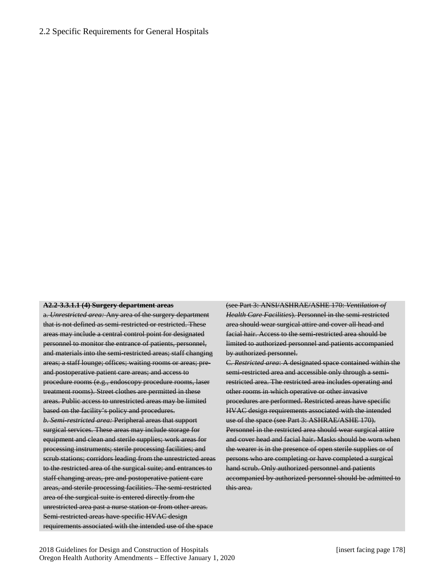#### **A2.2-3.3.1.1 (4) Surgery department areas**

a. *Unrestricted area:* Any area of the surgery department that is not defined as semi-restricted or restricted. These areas may include a central control point for designated personnel to monitor the entrance of patients, personnel, and materials into the semi-restricted areas; staff changing areas; a staff lounge; offices; waiting rooms or areas; preand postoperative patient care areas; and access to procedure rooms (e.g., endoscopy procedure rooms, laser treatment rooms). Street clothes are permitted in these areas. Public access to unrestricted areas may be limited based on the facility's policy and procedures. *b. Semi-restricted area:* Peripheral areas that support surgical services. These areas may include storage for equipment and clean and sterile supplies; work areas for processing instruments; sterile processing facilities; and scrub stations; corridors leading from the unrestricted areas to the restricted area of the surgical suite; and entrances to staff changing areas, pre and postoperative patient care areas, and sterile processing facilities. The semi-restricted area of the surgical suite is entered directly from the unrestricted area past a nurse station or from other areas. Semi-restricted areas have specific HVAC design requirements associated with the intended use of the space

(see Part 3: ANSI/ASHRAE/ASHE 170: *Ventilation of Health Care Facilities*). Personnel in the semi-restricted area should wear surgical attire and cover all head and facial hair. Access to the semi-restricted area should be limited to authorized personnel and patients accompanied by authorized personnel.

C. *Restricted area*: A designated space contained within the semi-restricted area and accessible only through a semirestricted area. The restricted area includes operating and other rooms in which operative or other invasive procedures are performed. Restricted areas have specific HVAC design requirements associated with the intended use of the space (see Part 3: ASHRAE/ASHE 170). Personnel in the restricted area should wear surgical attire and cover head and facial hair. Masks should be worn when the wearer is in the presence of open sterile supplies or of persons who are completing or have completed a surgical hand scrub. Only authorized personnel and patients accompanied by authorized personnel should be admitted to this area.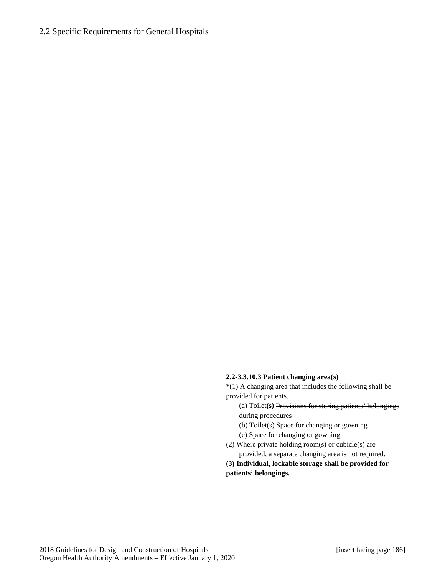#### **2.2-3.3.10.3 Patient changing area(s)**

\*(1) A changing area that includes the following shall be provided for patients.

(a) Toilet**(s)** Provisions for storing patients' belongings during procedures

(b) Toilet(s) Space for changing or gowning (c) Space for changing or gowning

(2) Where private holding room(s) or cubicle(s) are provided, a separate changing area is not required.

**(3) Individual, lockable storage shall be provided for patients' belongings.**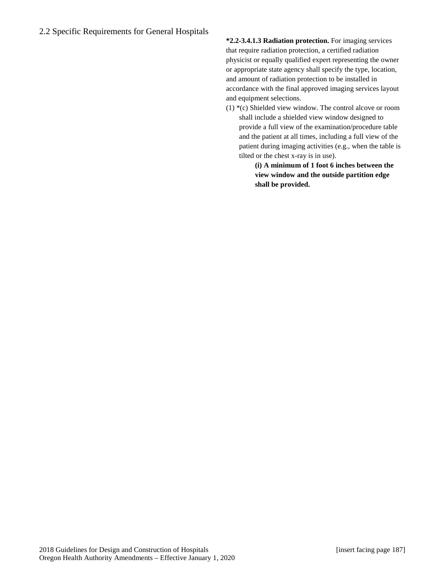**\*2.2-3.4.1.3 Radiation protection.** For imaging services that require radiation protection, a certified radiation physicist or equally qualified expert representing the owner or appropriate state agency shall specify the type, location, and amount of radiation protection to be installed in accordance with the final approved imaging services layout and equipment selections.

(1) \*(c) Shielded view window. The control alcove or room shall include a shielded view window designed to provide a full view of the examination/procedure table and the patient at all times, including a full view of the patient during imaging activities (e.g., when the table is tilted or the chest x-ray is in use).

**(i) A minimum of 1 foot 6 inches between the view window and the outside partition edge shall be provided.**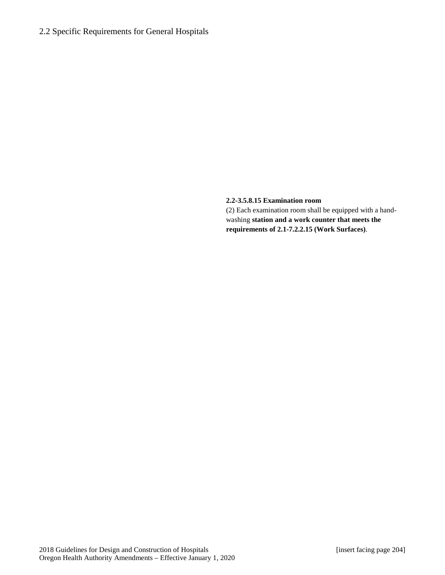#### **2.2-3.5.8.15 Examination room**

(2) Each examination room shall be equipped with a handwashing **station and a work counter that meets the requirements of 2.1-7.2.2.15 (Work Surfaces)**.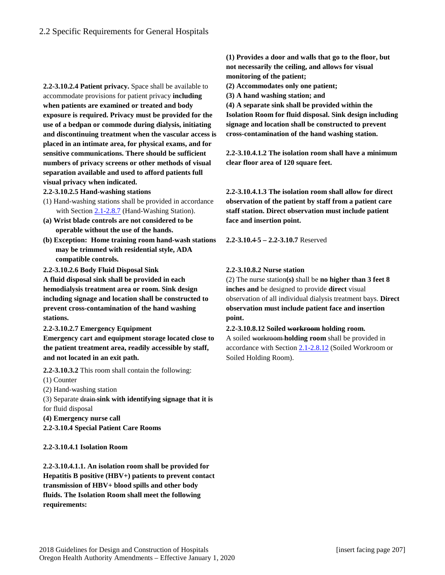**2.2-3.10.2.4 Patient privacy.** Space shall be available to accommodate provisions for patient privacy **including when patients are examined or treated and body exposure is required. Privacy must be provided for the use of a bedpan or commode during dialysis, initiating and discontinuing treatment when the vascular access is placed in an intimate area, for physical exams, and for sensitive communications. There should be sufficient numbers of privacy screens or other methods of visual separation available and used to afford patients full visual privacy when indicated.**

**2.2-3.10.2.5 Hand-washing stations**

- (1) Hand-washing stations shall be provided in accordance with Section 2.1-2.8.7 (Hand-Washing Station).
- **(a) Wrist blade controls are not considered to be operable without the use of the hands.**
- **(b) Exception: Home training room hand-wash stations may be trimmed with residential style, ADA compatible controls.**

**2.2-3.10.2.6 Body Fluid Disposal Sink**

**A fluid disposal sink shall be provided in each hemodialysis treatment area or room. Sink design including signage and location shall be constructed to prevent cross-contamination of the hand washing stations.**

**2.2-3.10.2.7 Emergency Equipment**

**Emergency cart and equipment storage located close to the patient treatment area, readily accessible by staff, and not located in an exit path.**

**2.2-3.10.3.2** This room shall contain the following:

(1) Counter

- (2) Hand-washing station
- (3) Separate drain **sink with identifying signage that it is**
- for fluid disposal
- **(4) Emergency nurse call**

**2.2-3.10.4 Special Patient Care Rooms**

#### **2.2-3.10.4.1 Isolation Room**

**2.2-3.10.4.1.1. An isolation room shall be provided for Hepatitis B positive (HBV+) patients to prevent contact transmission of HBV+ blood spills and other body fluids. The Isolation Room shall meet the following requirements:**

**(1) Provides a door and walls that go to the floor, but not necessarily the ceiling, and allows for visual monitoring of the patient;**

**(2) Accommodates only one patient;** 

**(3) A hand washing station; and** 

**(4) A separate sink shall be provided within the Isolation Room for fluid disposal. Sink design including signage and location shall be constructed to prevent cross-contamination of the hand washing station.**

**2.2-3.10.4.1.2 The isolation room shall have a minimum clear floor area of 120 square feet.**

**2.2-3.10.4.1.3 The isolation room shall allow for direct observation of the patient by staff from a patient care staff station. Direct observation must include patient face and insertion point.**

**2.2-3.10.**4 **5 – 2.2-3.10.7** Reserved

### **2.2-3.10.8.2 Nurse station**

Soiled Holding Room).

(2) The nurse station**(s)** shall be **no higher than 3 feet 8 inches and** be designed to provide **direct** visual observation of all individual dialysis treatment bays. **Direct observation must include patient face and insertion point.**

**2.2-3.10.8.12 Soiled workroom holding room.** A soiled workroom **holding room** shall be provided in accordance with Section 2.1-2.8.12 (Soiled Workroom or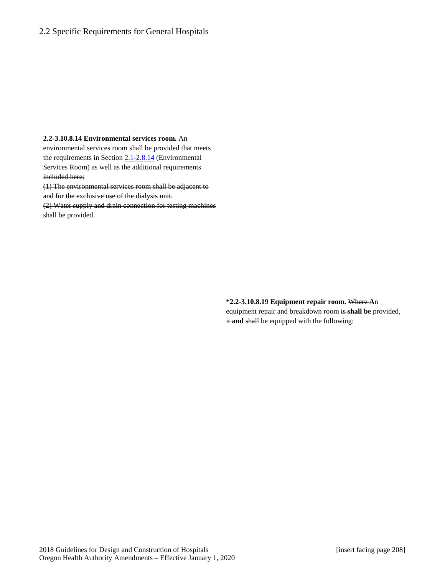#### **2.2-3.10.8.14 Environmental services room.** An

environmental services room shall be provided that meets the requirements in Section  $2.1 - 2.8.14$  (Environmental Services Room) as well as the additional requirements included here:

(1) The environmental services room shall be adjacent to and for the exclusive use of the dialysis unit.

(2) Water supply and drain connection for testing machines shall be provided.

> **\*2.2-3.10.8.19 Equipment repair room.** Where **A**n equipment repair and breakdown room is **shall be** provided, it and shall be equipped with the following: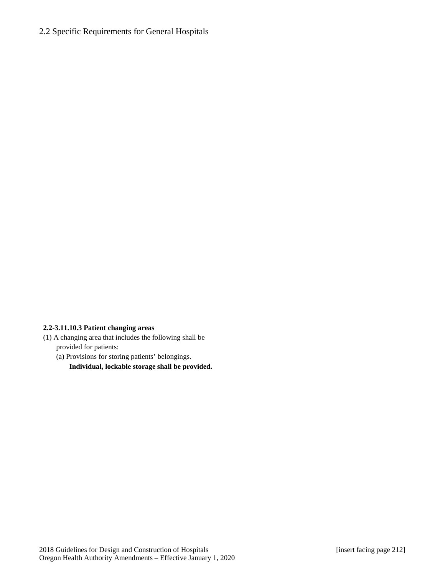### **2.2-3.11.10.3 Patient changing areas**

(1) A changing area that includes the following shall be provided for patients:

(a) Provisions for storing patients' belongings. **Individual, lockable storage shall be provided.**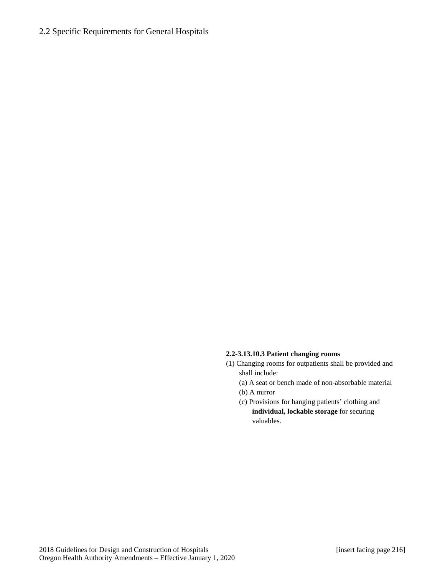#### **2.2-3.13.10.3 Patient changing rooms**

- (1) Changing rooms for outpatients shall be provided and shall include:
	- (a) A seat or bench made of non-absorbable material (b) A mirror
	- (c) Provisions for hanging patients' clothing and **individual, lockable storage** for securing valuables.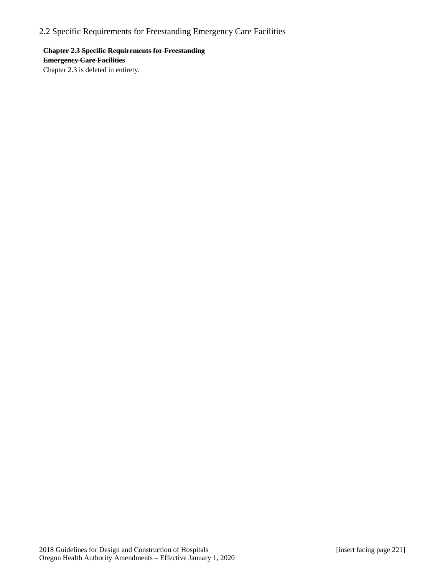# 2.2 Specific Requirements for Freestanding Emergency Care Facilities

**Chapter 2.3 Specific Requirements for Freestanding Emergency Care Facilities** Chapter 2.3 is deleted in entirety.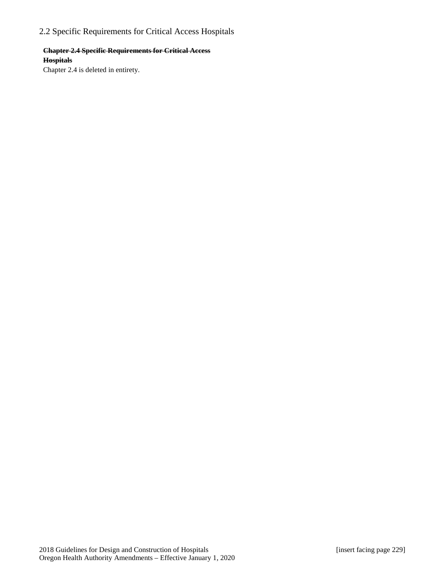# 2.2 Specific Requirements for Critical Access Hospitals

### **Chapter 2.4 Specific Requirements for Critical Access Hospitals**

Chapter 2.4 is deleted in entirety.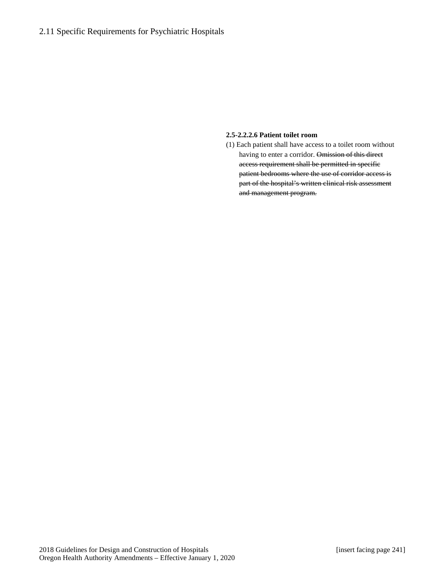# 2.11 Specific Requirements for Psychiatric Hospitals

#### **2.5-2.2.2.6 Patient toilet room**

(1) Each patient shall have access to a toilet room without having to enter a corridor. Omission of this direct access requirement shall be permitted in specific patient bedrooms where the use of corridor access is part of the hospital's written clinical risk assessment and management program.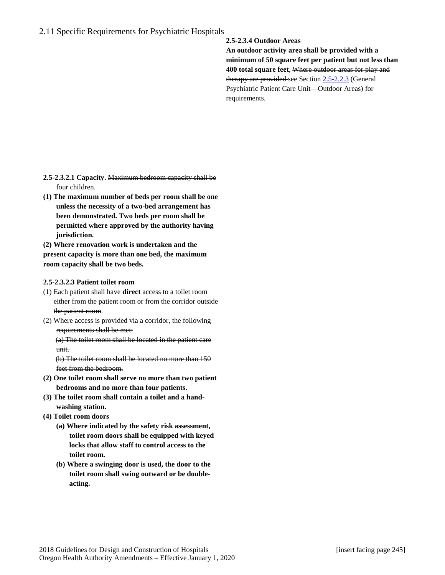# 2.11 Specific Requirements for Psychiatric Hospitals

#### **2.5-2.3.4 Outdoor Areas**

**An outdoor activity area shall be provided with a minimum of 50 square feet per patient but not less than 400 total square feet**, Where outdoor areas for play and therapy are provided see Section  $2.5 - 2.2.3$  (General Psychiatric Patient Care Unit—Outdoor Areas) for requirements.

- **2.5-2.3.2.1 Capacity.** Maximum bedroom capacity shall be four children.
- **(1) The maximum number of beds per room shall be one unless the necessity of a two-bed arrangement has been demonstrated. Two beds per room shall be permitted where approved by the authority having jurisdiction.**

**(2) Where renovation work is undertaken and the present capacity is more than one bed, the maximum room capacity shall be two beds.**

#### **2.5-2.3.2.3 Patient toilet room**

- (1) Each patient shall have **direct** access to a toilet room either from the patient room or from the corridor outside the patient room.
- (2) Where access is provided via a corridor, the following requirements shall be met:

(a) The toilet room shall be located in the patient care unit.

(b) The toilet room shall be located no more than 150 feet from the bedroom.

- **(2) One toilet room shall serve no more than two patient bedrooms and no more than four patients.**
- **(3) The toilet room shall contain a toilet and a handwashing station.**
- **(4) Toilet room doors** 
	- **(a) Where indicated by the safety risk assessment, toilet room doors shall be equipped with keyed locks that allow staff to control access to the toilet room.**
	- **(b) Where a swinging door is used, the door to the toilet room shall swing outward or be doubleacting.**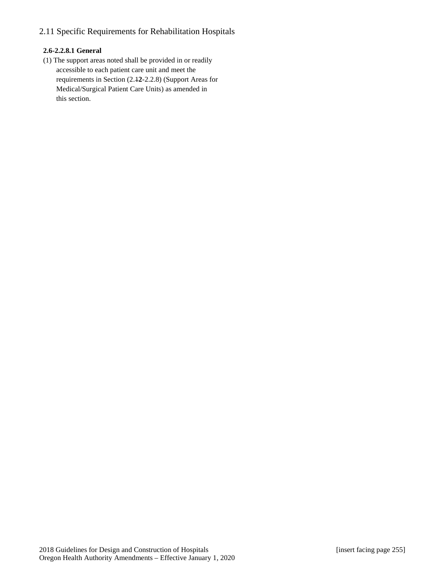# 2.11 Specific Requirements for Rehabilitation Hospitals

### **2.6-2.2.8.1 General**

(1) The support areas noted shall be provided in or readily accessible to each patient care unit and meet the requirements in Section (2.1**2**-2.2.8) (Support Areas for Medical/Surgical Patient Care Units) as amended in this section.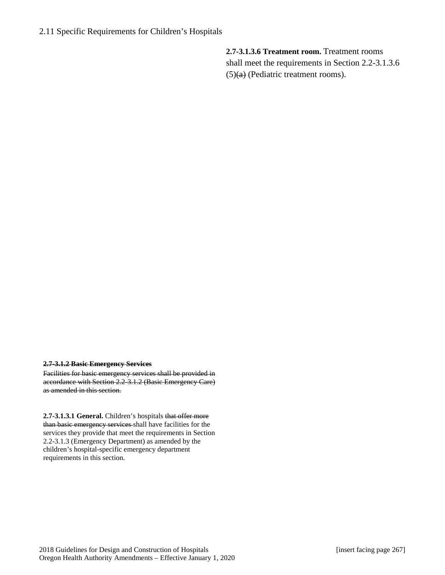**2.7-3.1.3.6 Treatment room.** Treatment rooms shall meet the requirements in Section 2.2-3.1.3.6  $(5)(a)$  (Pediatric treatment rooms).

#### **2.7-3.1.2 Basic Emergency Services**

Facilities for basic emergency services shall be provided in accordance with Section 2.2-3.1.2 (Basic Emergency Care) as amended in this section.

**2.7-3.1.3.1 General.** Children's hospitals that offer more than basic emergency services shall have facilities for the services they provide that meet the requirements in Section 2.2-3.1.3 (Emergency Department) as amended by the children's hospital-specific emergency department requirements in this section.